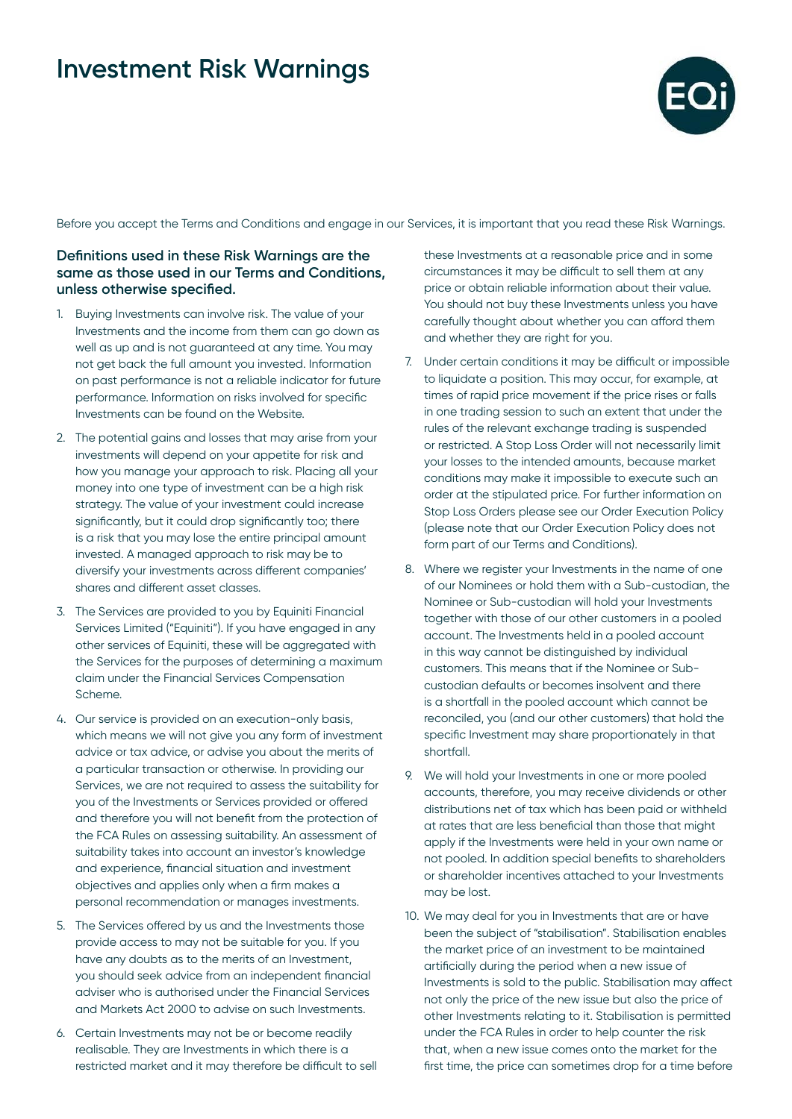

Before you accept the Terms and Conditions and engage in our Services, it is important that you read these Risk Warnings.

### **Definitions used in these Risk Warnings are the same as those used in our Terms and Conditions, unless otherwise specified.**

- 1. Buying Investments can involve risk. The value of your Investments and the income from them can go down as well as up and is not guaranteed at any time. You may not get back the full amount you invested. Information on past performance is not a reliable indicator for future performance. Information on risks involved for specific Investments can be found on the Website.
- 2. The potential gains and losses that may arise from your investments will depend on your appetite for risk and how you manage your approach to risk. Placing all your money into one type of investment can be a high risk strategy. The value of your investment could increase significantly, but it could drop significantly too; there is a risk that you may lose the entire principal amount invested. A managed approach to risk may be to diversify your investments across different companies' shares and different asset classes.
- 3. The Services are provided to you by Equiniti Financial Services Limited ("Equiniti"). If you have engaged in any other services of Equiniti, these will be aggregated with the Services for the purposes of determining a maximum claim under the Financial Services Compensation Scheme.
- 4. Our service is provided on an execution-only basis, which means we will not give you any form of investment advice or tax advice, or advise you about the merits of a particular transaction or otherwise. In providing our Services, we are not required to assess the suitability for you of the Investments or Services provided or offered and therefore you will not benefit from the protection of the FCA Rules on assessing suitability. An assessment of suitability takes into account an investor's knowledge and experience, financial situation and investment objectives and applies only when a firm makes a personal recommendation or manages investments.
- 5. The Services offered by us and the Investments those provide access to may not be suitable for you. If you have any doubts as to the merits of an Investment, you should seek advice from an independent financial adviser who is authorised under the Financial Services and Markets Act 2000 to advise on such Investments.
- 6. Certain Investments may not be or become readily realisable. They are Investments in which there is a restricted market and it may therefore be difficult to sell

these Investments at a reasonable price and in some circumstances it may be difficult to sell them at any price or obtain reliable information about their value. You should not buy these Investments unless you have carefully thought about whether you can afford them and whether they are right for you.

- 7. Under certain conditions it may be difficult or impossible to liquidate a position. This may occur, for example, at times of rapid price movement if the price rises or falls in one trading session to such an extent that under the rules of the relevant exchange trading is suspended or restricted. A Stop Loss Order will not necessarily limit your losses to the intended amounts, because market conditions may make it impossible to execute such an order at the stipulated price. For further information on Stop Loss Orders please see our Order Execution Policy (please note that our Order Execution Policy does not form part of our Terms and Conditions).
- 8. Where we register your Investments in the name of one of our Nominees or hold them with a Sub-custodian, the Nominee or Sub-custodian will hold your Investments together with those of our other customers in a pooled account. The Investments held in a pooled account in this way cannot be distinguished by individual customers. This means that if the Nominee or Subcustodian defaults or becomes insolvent and there is a shortfall in the pooled account which cannot be reconciled, you (and our other customers) that hold the specific Investment may share proportionately in that shortfall.
- 9. We will hold your Investments in one or more pooled accounts, therefore, you may receive dividends or other distributions net of tax which has been paid or withheld at rates that are less beneficial than those that might apply if the Investments were held in your own name or not pooled. In addition special benefits to shareholders or shareholder incentives attached to your Investments may be lost.
- 10. We may deal for you in Investments that are or have been the subject of "stabilisation". Stabilisation enables the market price of an investment to be maintained artificially during the period when a new issue of Investments is sold to the public. Stabilisation may affect not only the price of the new issue but also the price of other Investments relating to it. Stabilisation is permitted under the FCA Rules in order to help counter the risk that, when a new issue comes onto the market for the first time, the price can sometimes drop for a time before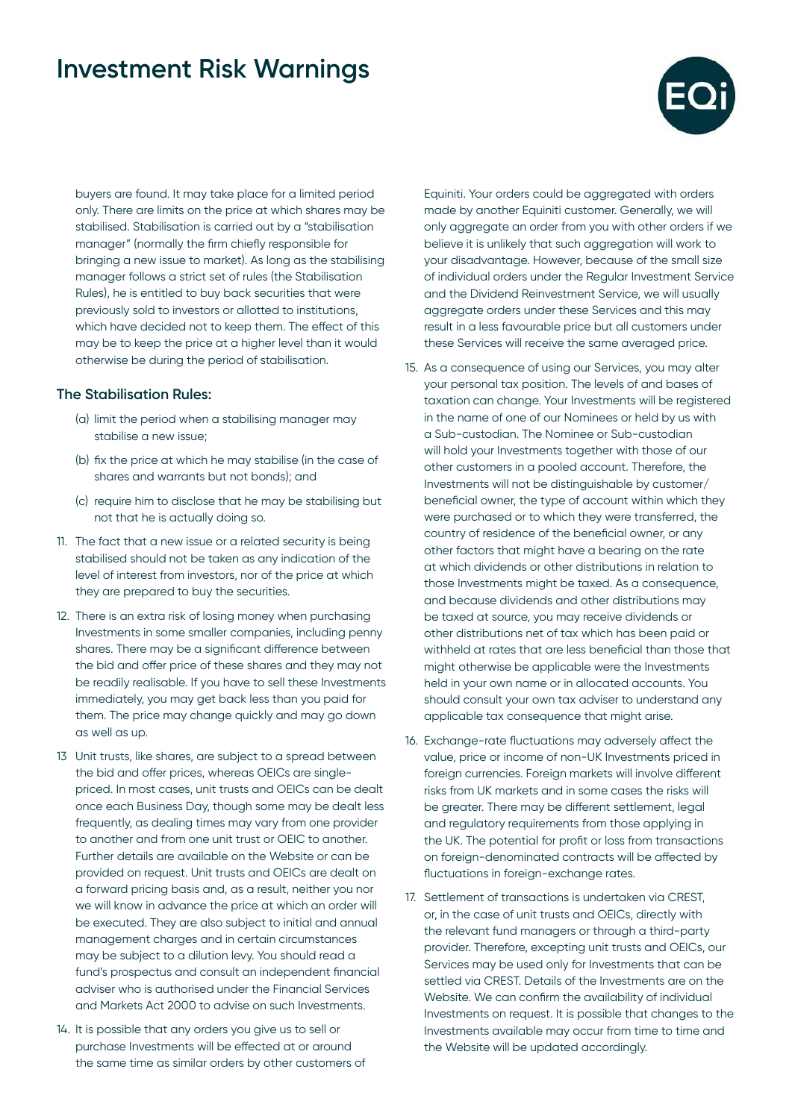

buyers are found. It may take place for a limited period only. There are limits on the price at which shares may be stabilised. Stabilisation is carried out by a "stabilisation manager" (normally the firm chiefly responsible for bringing a new issue to market). As long as the stabilising manager follows a strict set of rules (the Stabilisation Rules), he is entitled to buy back securities that were previously sold to investors or allotted to institutions, which have decided not to keep them. The effect of this may be to keep the price at a higher level than it would otherwise be during the period of stabilisation.

### **The Stabilisation Rules:**

- (a) limit the period when a stabilising manager may stabilise a new issue;
- (b) fix the price at which he may stabilise (in the case of shares and warrants but not bonds); and
- (c) require him to disclose that he may be stabilising but not that he is actually doing so.
- 11. The fact that a new issue or a related security is being stabilised should not be taken as any indication of the level of interest from investors, nor of the price at which they are prepared to buy the securities.
- 12. There is an extra risk of losing money when purchasing Investments in some smaller companies, including penny shares. There may be a significant difference between the bid and offer price of these shares and they may not be readily realisable. If you have to sell these Investments immediately, you may get back less than you paid for them. The price may change quickly and may go down as well as up.
- 13 Unit trusts, like shares, are subject to a spread between the bid and offer prices, whereas OEICs are singlepriced. In most cases, unit trusts and OEICs can be dealt once each Business Day, though some may be dealt less frequently, as dealing times may vary from one provider to another and from one unit trust or OEIC to another. Further details are available on the Website or can be provided on request. Unit trusts and OEICs are dealt on a forward pricing basis and, as a result, neither you nor we will know in advance the price at which an order will be executed. They are also subject to initial and annual management charges and in certain circumstances may be subject to a dilution levy. You should read a fund's prospectus and consult an independent financial adviser who is authorised under the Financial Services and Markets Act 2000 to advise on such Investments.
- 14. It is possible that any orders you give us to sell or purchase Investments will be effected at or around the same time as similar orders by other customers of

Equiniti. Your orders could be aggregated with orders made by another Equiniti customer. Generally, we will only aggregate an order from you with other orders if we believe it is unlikely that such aggregation will work to your disadvantage. However, because of the small size of individual orders under the Regular Investment Service and the Dividend Reinvestment Service, we will usually aggregate orders under these Services and this may result in a less favourable price but all customers under these Services will receive the same averaged price.

- 15. As a consequence of using our Services, you may alter your personal tax position. The levels of and bases of taxation can change. Your Investments will be registered in the name of one of our Nominees or held by us with a Sub-custodian. The Nominee or Sub-custodian will hold your Investments together with those of our other customers in a pooled account. Therefore, the Investments will not be distinguishable by customer/ beneficial owner, the type of account within which they were purchased or to which they were transferred, the country of residence of the beneficial owner, or any other factors that might have a bearing on the rate at which dividends or other distributions in relation to those Investments might be taxed. As a consequence, and because dividends and other distributions may be taxed at source, you may receive dividends or other distributions net of tax which has been paid or withheld at rates that are less beneficial than those that might otherwise be applicable were the Investments held in your own name or in allocated accounts. You should consult your own tax adviser to understand any applicable tax consequence that might arise.
- 16. Exchange-rate fluctuations may adversely affect the value, price or income of non-UK Investments priced in foreign currencies. Foreign markets will involve different risks from UK markets and in some cases the risks will be greater. There may be different settlement, legal and regulatory requirements from those applying in the UK. The potential for profit or loss from transactions on foreign-denominated contracts will be affected by fluctuations in foreign-exchange rates.
- 17. Settlement of transactions is undertaken via CREST, or, in the case of unit trusts and OEICs, directly with the relevant fund managers or through a third-party provider. Therefore, excepting unit trusts and OEICs, our Services may be used only for Investments that can be settled via CREST. Details of the Investments are on the Website. We can confirm the availability of individual Investments on request. It is possible that changes to the Investments available may occur from time to time and the Website will be updated accordingly.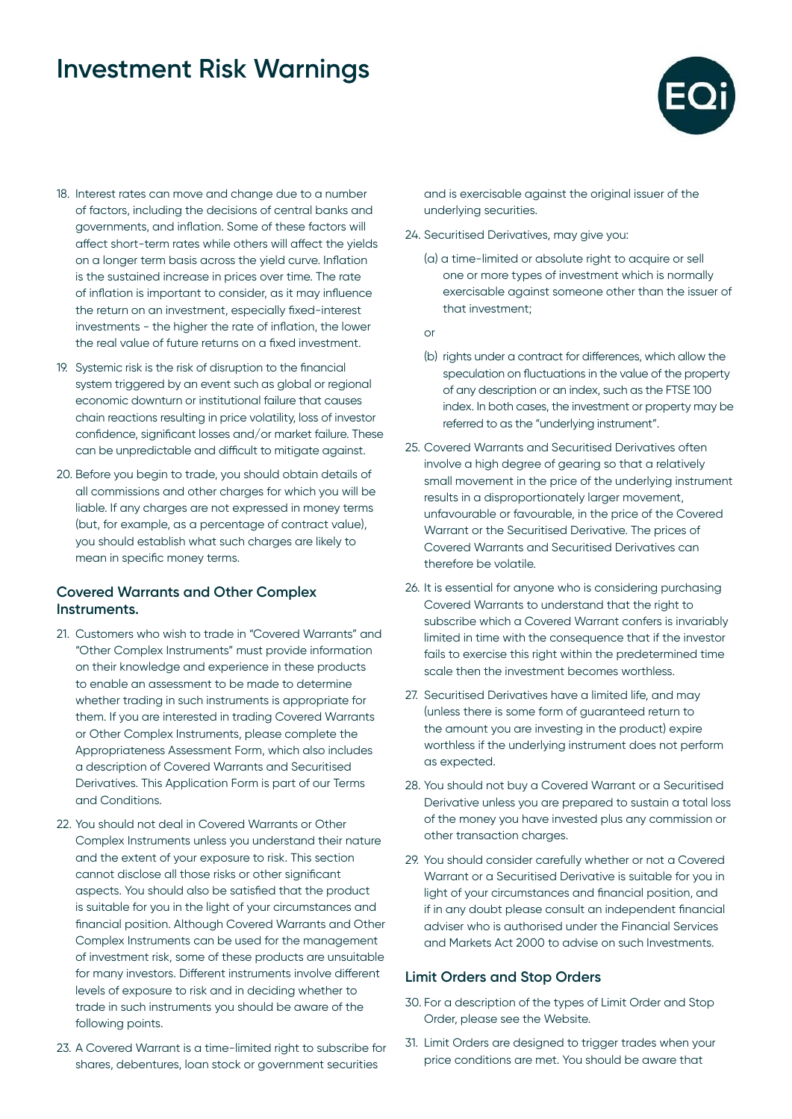

- 18. Interest rates can move and change due to a number of factors, including the decisions of central banks and governments, and inflation. Some of these factors will affect short-term rates while others will affect the yields on a longer term basis across the yield curve. Inflation is the sustained increase in prices over time. The rate of inflation is important to consider, as it may influence the return on an investment, especially fixed-interest investments - the higher the rate of inflation, the lower the real value of future returns on a fixed investment.
- 19. Systemic risk is the risk of disruption to the financial system triggered by an event such as global or regional economic downturn or institutional failure that causes chain reactions resulting in price volatility, loss of investor confidence, significant losses and/or market failure. These can be unpredictable and difficult to mitigate against.
- 20. Before you begin to trade, you should obtain details of all commissions and other charges for which you will be liable. If any charges are not expressed in money terms (but, for example, as a percentage of contract value), you should establish what such charges are likely to mean in specific money terms.

### **Covered Warrants and Other Complex Instruments.**

- 21. Customers who wish to trade in "Covered Warrants" and "Other Complex Instruments" must provide information on their knowledge and experience in these products to enable an assessment to be made to determine whether trading in such instruments is appropriate for them. If you are interested in trading Covered Warrants or Other Complex Instruments, please complete the Appropriateness Assessment Form, which also includes a description of Covered Warrants and Securitised Derivatives. This Application Form is part of our Terms and Conditions.
- 22. You should not deal in Covered Warrants or Other Complex Instruments unless you understand their nature and the extent of your exposure to risk. This section cannot disclose all those risks or other significant aspects. You should also be satisfied that the product is suitable for you in the light of your circumstances and financial position. Although Covered Warrants and Other Complex Instruments can be used for the management of investment risk, some of these products are unsuitable for many investors. Different instruments involve different levels of exposure to risk and in deciding whether to trade in such instruments you should be aware of the following points.
- 23. A Covered Warrant is a time-limited right to subscribe for shares, debentures, loan stock or government securities

and is exercisable against the original issuer of the underlying securities.

- 24. Securitised Derivatives, may give you:
	- (a) a time-limited or absolute right to acquire or sell one or more types of investment which is normally exercisable against someone other than the issuer of that investment;

or

- (b) rights under a contract for differences, which allow the speculation on fluctuations in the value of the property of any description or an index, such as the FTSE 100 index. In both cases, the investment or property may be referred to as the "underlying instrument".
- 25. Covered Warrants and Securitised Derivatives often involve a high degree of gearing so that a relatively small movement in the price of the underlying instrument results in a disproportionately larger movement, unfavourable or favourable, in the price of the Covered Warrant or the Securitised Derivative. The prices of Covered Warrants and Securitised Derivatives can therefore be volatile.
- 26. It is essential for anyone who is considering purchasing Covered Warrants to understand that the right to subscribe which a Covered Warrant confers is invariably limited in time with the consequence that if the investor fails to exercise this right within the predetermined time scale then the investment becomes worthless.
- 27. Securitised Derivatives have a limited life, and may (unless there is some form of guaranteed return to the amount you are investing in the product) expire worthless if the underlying instrument does not perform as expected.
- 28. You should not buy a Covered Warrant or a Securitised Derivative unless you are prepared to sustain a total loss of the money you have invested plus any commission or other transaction charges.
- 29. You should consider carefully whether or not a Covered Warrant or a Securitised Derivative is suitable for you in light of your circumstances and financial position, and if in any doubt please consult an independent financial adviser who is authorised under the Financial Services and Markets Act 2000 to advise on such Investments.

### **Limit Orders and Stop Orders**

- 30. For a description of the types of Limit Order and Stop Order, please see the Website.
- 31. Limit Orders are designed to trigger trades when your price conditions are met. You should be aware that